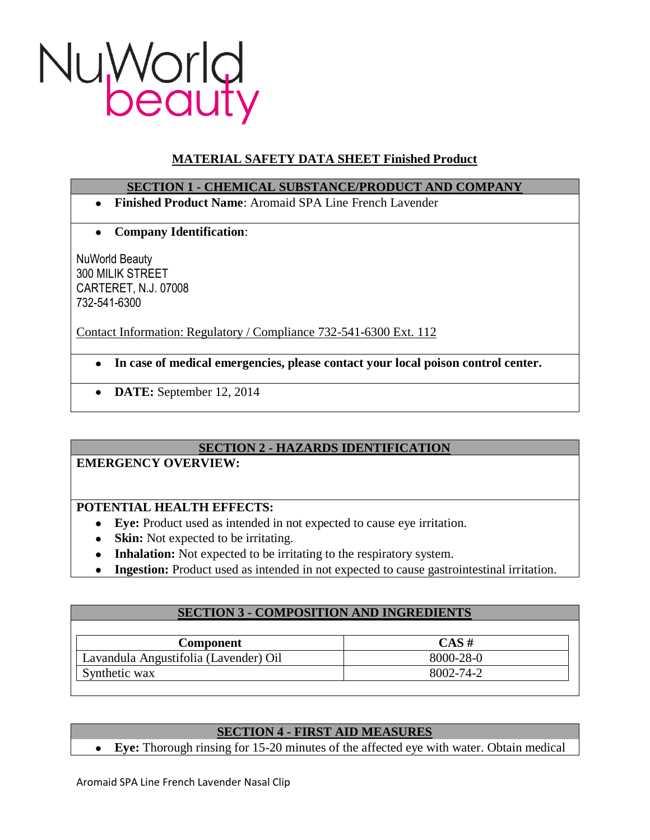

# **MATERIAL SAFETY DATA SHEET Finished Product**

# **SECTION 1 - CHEMICAL SUBSTANCE/PRODUCT AND COMPANY**

- **Finished Product Name**: Aromaid SPA Line French Lavender
- **Company Identification**:  $\bullet$

NuWorld Beauty 300 MILIK STREET CARTERET, N.J. 07008 732-541-6300

Contact Information: Regulatory / Compliance 732-541-6300 Ext. 112

- **In case of medical emergencies, please contact your local poison control center.**
- **DATE:** September 12, 2014

# **SECTION 2 - HAZARDS IDENTIFICATION**

## **EMERGENCY OVERVIEW:**

# **POTENTIAL HEALTH EFFECTS:**

- **Eye:** Product used as intended in not expected to cause eye irritation.
- **Skin:** Not expected to be irritating.
- **Inhalation:** Not expected to be irritating to the respiratory system.
- **Ingestion:** Product used as intended in not expected to cause gastrointestinal irritation.

| <b>SECTION 3 - COMPOSITION AND INGREDIENTS</b> |  |
|------------------------------------------------|--|
|                                                |  |
| $CAS \#$                                       |  |
| 8000-28-0                                      |  |
| 8002-74-2                                      |  |
|                                                |  |

# **SECTION 4 - FIRST AID MEASURES**

**Eye:** Thorough rinsing for 15-20 minutes of the affected eye with water. Obtain medical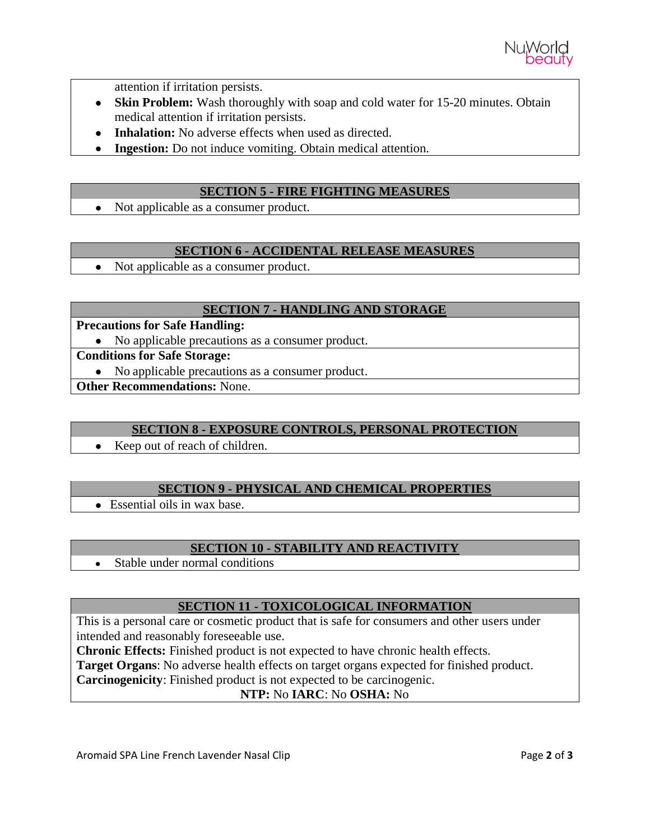

attention if irritation persists.

- **Skin Problem:** Wash thoroughly with soap and cold water for 15-20 minutes. Obtain medical attention if irritation persists.
- **Inhalation:** No adverse effects when used as directed.
- **Ingestion:** Do not induce vomiting. Obtain medical attention.

#### **SECTION 5 - FIRE FIGHTING MEASURES**

• Not applicable as a consumer product.

#### **SECTION 6 - ACCIDENTAL RELEASE MEASURES**

• Not applicable as a consumer product.

## **SECTION 7 - HANDLING AND STORAGE**

#### **Precautions for Safe Handling:**

• No applicable precautions as a consumer product.

#### **Conditions for Safe Storage:**

• No applicable precautions as a consumer product.

**Other Recommendations:** None.

## **SECTION 8 - EXPOSURE CONTROLS, PERSONAL PROTECTION**

• Keep out of reach of children.

## **SECTION 9 - PHYSICAL AND CHEMICAL PROPERTIES**

Essential oils in wax base.

## **SECTION 10 - STABILITY AND REACTIVITY**

Stable under normal conditions  $\bullet$ 

## **SECTION 11 - TOXICOLOGICAL INFORMATION**

This is a personal care or cosmetic product that is safe for consumers and other users under intended and reasonably foreseeable use.

**Chronic Effects:** Finished product is not expected to have chronic health effects.

**Target Organs**: No adverse health effects on target organs expected for finished product.

**Carcinogenicity**: Finished product is not expected to be carcinogenic.

# **NTP:** No **IARC**: No **OSHA:** No